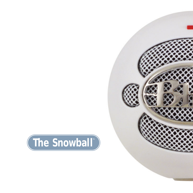

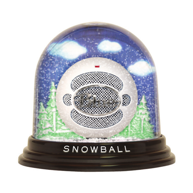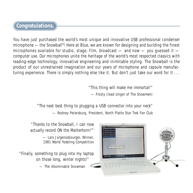

You have just purchased the world's most unique and innovative USB professional condenser microphone — the Snowball<sup>m</sup>! Here at Blue, we are known for designing and building the finest microphones available for studio, stage, film, broadcast — and *now* — you guessed it computer use. Our microphones unite the heritage of the world's most respected classics with leading-edge technology, innovative engineering and inimitable styling. The Snowball is the product of our unrestrained imagination and our years of microphone and capsule manufacturing experience. There is simply nothing else like it. But don't just take our word for it . . .

> *"This thing will make me immortal!"* — Frosty (lead singer of *The Snowmen*)

*"The next best thing to plugging a USB connector into your neck"* — Rodney Petersburg, President, *North Platte Star Trek Fan Club*

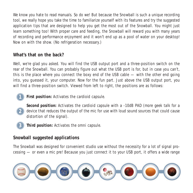We know you hate to read manuals. So do we! But because the Snowball is such a unique recording tool, we really hope you take the time to familiarize yourself with its features and try the suggested application tips that are designed to help you get the most out of the Snowball. You might just learn something too! With proper care and feeding, the Snowball will reward you with many years of recording and performance enjoyment and it won't end up as a pool of water on your desktop! Now on with the show. (No refrigeration necessary.)

# **What's that on the back?**

**2**

**3**

Well, we're glad you asked. You will find the USB output port and a three-position switch on the rear of the Snowball. You can probably figure out what the USB port is for, but in case you can't, this is the place where you connect the boxy end of the USB cable — with the other end going into, you guessed it, your computer. Now for the fun part. Just above the USB output port, you will find a three-position switch. Viewed from left to right, the positions are as follows:

- **First position:** Activates the cardioid capsule.
	- **Second position:** Activates the cardioid capsule with a -10dB PAD (more geek talk for a device that reduces the output of the mic for use with loud sound sources that could cause distortion of the signal).
- **Third position:** Activates the omni capsule.

### **Snowball suggested applications**

The Snowball was designed for convenient studio use without the necessity for a lot of signal processing — or even a mic pre! Because you just connect it to your USB port, it offers a wide range

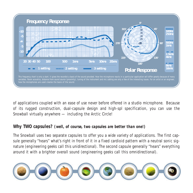

of applications coupled with an ease of use never before offered in a studio microphone. Because of its rugged construction, dual-capsule design and high-spl specification, you can use the Snowball virtually anywhere — including the Arctic Circle!

#### **Why TWO capsules?** *(well, of course, two capsules are better than one!)*

The Snowball uses two separate capsules to offer you a wide variety of applications. The first capsule generally "hears" what's right in front of it in a fixed cardioid pattern with a neutral sonic signature (engineering geeks call this *unidirectional*). The second capsule generally "hears" everything around it with a brighter overall sound (engineering geeks call this *omnidirectional*).

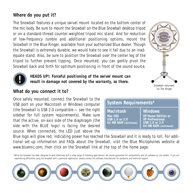# **Where do you put it?**

The Snowball features a unique swivel mount located on the bottom center of the mic body. Be sure to mount the Snowball on the Blue Snowball desktop tripod or on a standard-thread counter-weighted tripod mic stand. And for reduction of low-frequency rumble and additional positioning options, mount the Snowball in the Blue Ringer, available from your authorized Blue dealer. Though the Snowball is extremely durable, we would hate to see it fall due to an inadequate stand. Also, be sure to position the Snowball over the center leg of the tripod to further prevent tipping. Once mounted, you can gently pivot the Snowball back and forth for optimum positioning in front of the sound source.



*HEADS UP!: Forceful positioning of the swivel mount can result in damage not covered by the warranty, so there.*



*on The Ringer*

#### **What do you connect it to?**

Once safely mounted, connect the Snowball to the USB port on your Macintosh or Windows computer (the Snowball is USB 2.0 compatible — see the right sidebar for full system requirements). Make sure that the active, on-axis side of the diaphragm (the side with the BLUE logo) is facing the desired source. When connected, the LED just above the



Blue logo will glow red, indicating power has reached the Snowball and it is ready to roll. For additional set-up information and FAQs about the Snowball, visit the Blue Microphones website at *www.bluemic.com*, then click on the Snowball link at the top of the home page.

*\*While the Snowball has been designed to work effectively with a wide range of recording applications, we cannot guarantee full compatibility with all software on the market. If you are experiencing difficulties using the Snowball with a particular application, please contact the software manufacturer for assistance and technical support.*

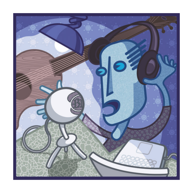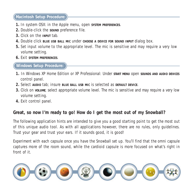#### **Macintosh Setup Procedure:**

- **1.** In system OSX: in the Apple menu, open **SYSTEM PREFERENCES**.
- **2.** Double-click the **SOUND** preference file.
- **3.** Click on the **INPUT** tab.
- **4.** Double click **BLUE USB BALL MIC** under **CHOOSE A DEVICE FOR SOUND INPUT** dialog box.
- **5.** Set input volume to the appropriate level. The mic is sensitive and may require a very low volume setting.
- **6.** Exit **SYSTEM PREFERENCES**.

#### **Windows Setup Procedure:**

- **1.** In Windows XP Home Edition or XP Professional: Under **START MENU** open **SOUNDS AND AUDIO DEVICES** control panel.
- **2.** Select **AUDIO** tab; insure **BLUE BALL USB MIC** is selected as **DEFAULT DEVICE**.
- **3.** Click on **VOLUME**; select appropriate volume level. The mic is sensitive and may require a very low volume setting.
- **4.** Exit control panel.

# **Great, so now I'm ready to go! How do I get the most out of my Snowball?**

The following application hints are intended to give you a good starting point to get the most out of this unique audio tool. As with all applications however, there are no rules, only guidelines. Trust your gear and trust your ears. If it *sounds* good, it *is* good!

Experiment with each capsule once you have the Snowball set up. You'll find that the omni capsule captures more of the room sound, while the cardioid capsule is more focused on what's right in front of it.

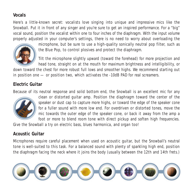### **Vocals**

Here's a little-known secret: vocalists love singing into unique and impressive mics like the Snowball. Put it in front of any singer and you're sure to get an inspired performance. For a "big" vocal sound, position the vocalist within one to four inches of the diaphragm. With the input volume properly adjusted in your computer's settings, there is no need to worry about overloading the



microphone, but be sure to use a high-quality sonically neutral pop filter, such as the Blue Pop, to control plosives and protect the diaphragm.

Tilt the microphone slightly upward (toward the forehead) for more projection and head tone, straight on at the mouth for maximum brightness and intelligibility, or

down toward the chest for more robust full lows and smoother highs. We recommend starting out in position one — or position two, which activates the -10dB PAD for real screamers.

# **Electric Guitar**

Because of its neutral response and solid bottom end, the Snowball is an excellent mic for any



clean or distorted guitar amp. Position the diaphragm toward the center of the speaker or dust cap to capture more highs, or toward the edge of the speaker cone for a fuller sound with more low end. For overdriven or distorted tones, move the mic towards the outer edge of the speaker cone, or back it away from the amp a foot or more to blend room tone with direct pickup and soften high frequencies.

Give the Snowball a try on electric bass, blues harmonica, and organ too!

### **Acoustic Guitar**

Microphones require careful placement when used on acoustic guitar, but the Snowball's neutral tone is well-suited to this task. For a balanced sound with plenty of sparkling high end, position the diaphragm facing the neck where it joins the body (usually between the 12th and 14th frets.)

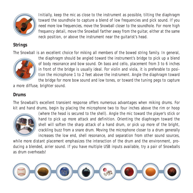

Initially, keep the mic as close to the instrument as possible, tilting the diaphragm toward the soundhole to capture a blend of low frequencies and pick sound. If you need more low frequencies, move the Snowball closer to the soundhole. For more high frequency detail, move the Snowball farther away from the guitar, either at the same neck position, or above the instrument near the guitarist's head.

# **Strings**

The Snowball is an excellent choice for miking all members of the bowed string family. In general,



the diaphragm should be angled toward the instrument's bridge to pick up a blend of body resonance and bow sound. On bass and cello, placement from 3 to 6 inches in front of the bridge is usually ideal. For violin and viola, it is preferable to position the microphone 1 to 2 feet above the instrument. Angle the diaphragm toward the bridge for more bow sound and low tones, or toward the tuning pegs to capture

a more diffuse, brighter sound.

#### **Drums**

The Snowball's excellent transient response offers numerous advantages when miking drums. For kit and hand drums, begin by placing the microphone two to four inches above the rim or hoop



(where the head is secured to the shell). Angle the mic toward the player's stick or hand to pick up more attack and definition. Orienting the diaphragm toward the shell will soften the sharp attack of a hand drum, or pick up more of the bright, crackling buzz from a snare drum. Moving the microphone closer to a drum generally increases the low end, shell resonance, and separation from other sound sources,

while more distant placement emphasizes the interaction of the drum and the environment, producing a blended, airier sound. If you have multiple USB inputs available, try a pair of Snowballs as drum overheads!

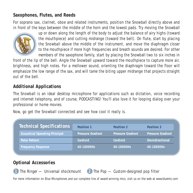# **Saxophones, Flutes, and Reeds**

For soprano sax, clarinet, oboe and related instruments, position the Snowball directly above and in front of the keys between the middle of the horn and the lowest pads. Try moving the Snowball



up or down along the length of the body to adjust the balance of airy highs (toward the mouthpiece) and cutting midrange (toward the bell). On flute, start by placing the Snowball above the middle of the instrument, and move the diaphragm closer to the mouthpiece if more high frequencies and breath sounds are desired. For other members of the saxophone family, start by placing the Snowball two to six inches in

front of the lip of the bell. Angle the Snowball upward toward the mouthpiece to capture more air, brightness, and high notes. For a mellower sound, orienting the diaphragm toward the floor will emphasize the low range of the sax, and will tame the biting upper midrange that projects straight out of the bell.

### **Additional Applications**

The Snowball is an ideal desktop microphone for applications such as dictation, voice recording and internet telephony, and of course, PODCASTING! You'll also love it for looping dialog over your professional or home movies.

Now, go get the Snowball connected and see how cool it really is.

| <b>Technical Specifications</b>       | <b>Position 1</b>        | <b>Position 2</b>        | <b>Position 3</b>        |
|---------------------------------------|--------------------------|--------------------------|--------------------------|
| <b>Acoustical Operating Principal</b> | <b>Pressure Gradient</b> | <b>Pressure Gradient</b> | <b>Pressure Gradient</b> |
| <b>Polar Pattern</b>                  | <b>Cardioid</b>          | Cardioid                 | <b>Omnidirectional</b>   |
| <b>Frequency Response</b>             | 40-18000Hz               | 40-18000Hz               | 40-18000Hz               |
|                                       |                          |                          |                          |

# **Optional Accessories**

*Z* The Pop — Custom-designed pop filter **1** *The Ringer* — Universal shockmount

For more information on Blue Microphones and our complete line of award-winning mics, visit us on the web at *www.bluemic.com*